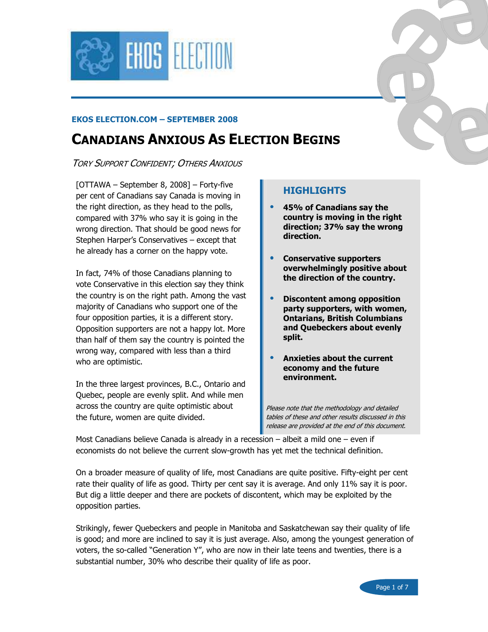

#### EKOS ELECTION.COM – SEPTEMBER 2008

# CANADIANS ANXIOUS AS ELECTION BEGINS

TORY SUPPORT CONFIDENT; OTHERS ANXIOUS

[OTTAWA – September 8, 2008] – Forty-five per cent of Canadians say Canada is moving in the right direction, as they head to the polls, compared with 37% who say it is going in the wrong direction. That should be good news for Stephen Harper's Conservatives – except that he already has a corner on the happy vote.

In fact, 74% of those Canadians planning to vote Conservative in this election say they think the country is on the right path. Among the vast majority of Canadians who support one of the four opposition parties, it is a different story. Opposition supporters are not a happy lot. More than half of them say the country is pointed the wrong way, compared with less than a third who are optimistic.

In the three largest provinces, B.C., Ontario and Quebec, people are evenly split. And while men across the country are quite optimistic about the future, women are quite divided.

#### **HIGHLIGHTS**

- 45% of Canadians say the country is moving in the right direction; 37% say the wrong direction.
- Conservative supporters overwhelmingly positive about the direction of the country.
- Discontent among opposition party supporters, with women, Ontarians, British Columbians and Quebeckers about evenly split.
- Anxieties about the current economy and the future environment.

Please note that the methodology and detailed tables of these and other results discussed in this release are provided at the end of this document.

Most Canadians believe Canada is already in a recession  $-$  albeit a mild one  $-$  even if economists do not believe the current slow-growth has yet met the technical definition.

On a broader measure of quality of life, most Canadians are quite positive. Fifty-eight per cent rate their quality of life as good. Thirty per cent say it is average. And only 11% say it is poor. But dig a little deeper and there are pockets of discontent, which may be exploited by the opposition parties.

Strikingly, fewer Quebeckers and people in Manitoba and Saskatchewan say their quality of life is good; and more are inclined to say it is just average. Also, among the youngest generation of voters, the so-called "Generation Y", who are now in their late teens and twenties, there is a substantial number, 30% who describe their quality of life as poor.

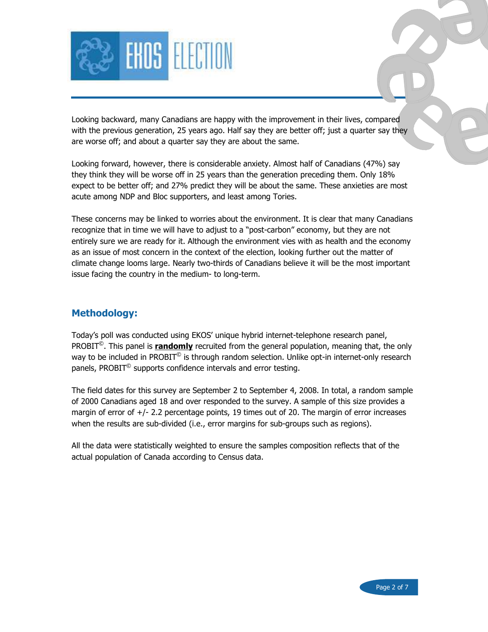

Looking backward, many Canadians are happy with the improvement in their lives, compared with the previous generation, 25 years ago. Half say they are better off; just a quarter say they are worse off; and about a quarter say they are about the same.

Looking forward, however, there is considerable anxiety. Almost half of Canadians (47%) say they think they will be worse off in 25 years than the generation preceding them. Only 18% expect to be better off; and 27% predict they will be about the same. These anxieties are most acute among NDP and Bloc supporters, and least among Tories.

These concerns may be linked to worries about the environment. It is clear that many Canadians recognize that in time we will have to adjust to a "post-carbon" economy, but they are not entirely sure we are ready for it. Although the environment vies with as health and the economy as an issue of most concern in the context of the election, looking further out the matter of climate change looms large. Nearly two-thirds of Canadians believe it will be the most important issue facing the country in the medium- to long-term.

#### Methodology:

Today's poll was conducted using EKOS' unique hybrid internet-telephone research panel, PROBIT<sup>©</sup>. This panel is *randomly* recruited from the general population, meaning that, the only way to be included in PROBIT $^{\circ}$  is through random selection. Unlike opt-in internet-only research panels, PROBIT $^{\circ}$  supports confidence intervals and error testing.

The field dates for this survey are September 2 to September 4, 2008. In total, a random sample of 2000 Canadians aged 18 and over responded to the survey. A sample of this size provides a margin of error of  $+/-$  2.2 percentage points, 19 times out of 20. The margin of error increases when the results are sub-divided (i.e., error margins for sub-groups such as regions).

All the data were statistically weighted to ensure the samples composition reflects that of the actual population of Canada according to Census data.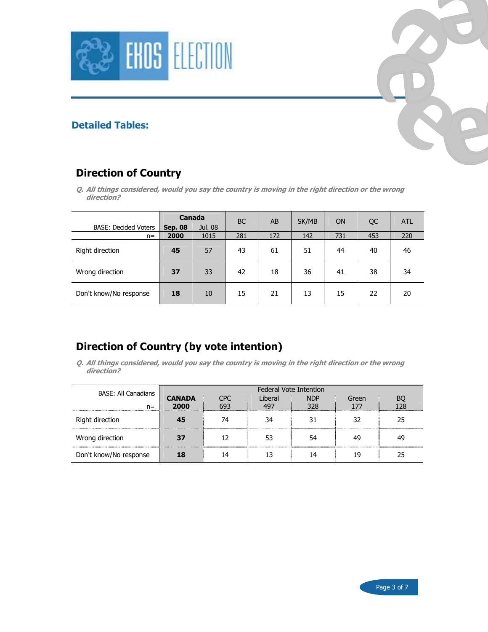



### Detailed Tables:

## Direction of Country

Q. All things considered, would you say the country is moving in the right direction or the wrong direction?

|                             | Canada         |         | <b>BC</b> | AB  | SK/MB | <b>ON</b> | QC  | <b>ATL</b> |
|-----------------------------|----------------|---------|-----------|-----|-------|-----------|-----|------------|
| <b>BASE: Decided Voters</b> | <b>Sep. 08</b> | Jul. 08 |           |     |       |           |     |            |
| $n =$                       | 2000           | 1015    | 281       | 172 | 142   | 731       | 453 | 220        |
| Right direction             | 45             | 57      | 43        | 61  | 51    | 44        | 40  | 46         |
| Wrong direction             | 37             | 33      | 42        | 18  | 36    | 41        | 38  | 34         |
| Don't know/No response      | 18             | 10      | 15        | 21  | 13    | 15        | 22  | 20         |

## Direction of Country (by vote intention)

Q. All things considered, would you say the country is moving in the right direction or the wrong direction?

| BASE: All Canadians    |                       | <b>Federal Vote Intention</b><br>CPC. |                |                   |       |           |  |  |  |  |
|------------------------|-----------------------|---------------------------------------|----------------|-------------------|-------|-----------|--|--|--|--|
| $n =$                  | <b>CANADA</b><br>2000 |                                       | Liberal<br>497 | <b>NDP</b><br>328 | Green | BQ<br>128 |  |  |  |  |
| Right direction        |                       | 74                                    | 34             |                   | 32    | 25        |  |  |  |  |
| Wrong direction        | 37                    | 12                                    |                | 54                | 49    | 49        |  |  |  |  |
| Don't know/No response |                       | 14                                    |                | 14                | 19    |           |  |  |  |  |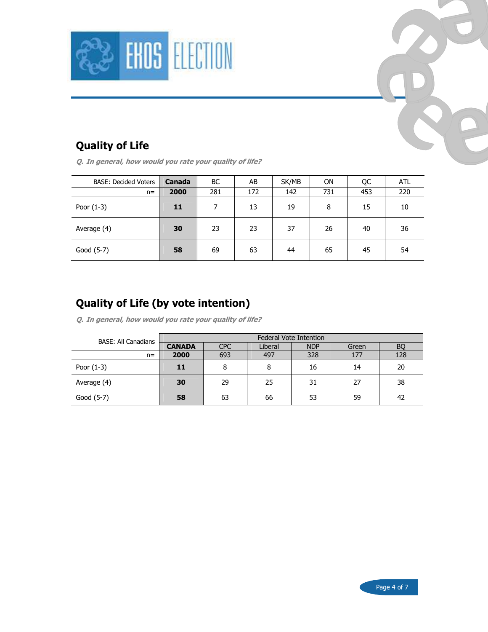

## Quality of Life

Q. In general, how would you rate your quality of life?

| <b>BASE: Decided Voters</b> | Canada | BC. | AB  | SK/MB | <b>ON</b> | QC  | <b>ATL</b> |
|-----------------------------|--------|-----|-----|-------|-----------|-----|------------|
| $n =$                       | 2000   | 281 | 172 | 142   | 731       | 453 | 220        |
| Poor $(1-3)$                | 11     |     | 13  | 19    | 8         | 15  | 10         |
| Average (4)                 | 30     | 23  | 23  | 37    | 26        | 40  | 36         |
| Good (5-7)                  | 58     | 69  | 63  | 44    | 65        | 45  | 54         |

## Quality of Life (by vote intention)

Q. In general, how would you rate your quality of life?

| <b>BASE: All Canadians</b> |               |            |         | <b>Federal Vote Intention</b> |       |     |
|----------------------------|---------------|------------|---------|-------------------------------|-------|-----|
|                            | <b>CANADA</b> | <b>CPC</b> | Liberal | <b>NDP</b>                    | Green | BQ  |
| $n =$                      | 2000          | 693        | 497     | 328                           | 177   | 128 |
| Poor $(1-3)$               | 11            | 8          | 8       | 16                            | 14    | 20  |
| Average (4)                | 30            | 29         | 25      | 31                            | 27    | 38  |
| Good (5-7)                 | 58            | 63         | 66      | 53                            | 59    | 42  |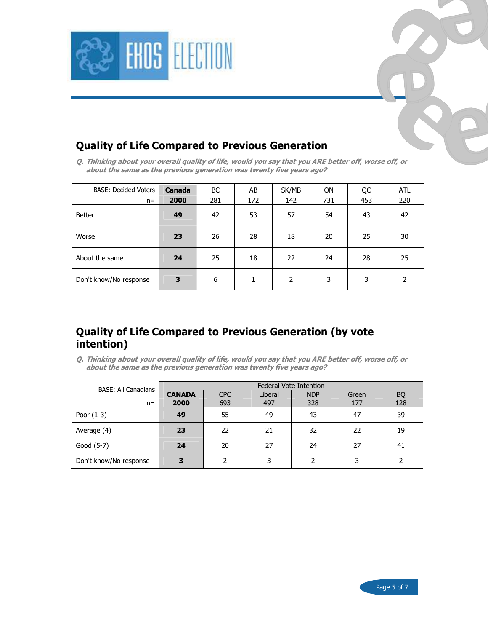



## Quality of Life Compared to Previous Generation

Q. Thinking about your overall quality of life, would you say that you ARE better off, worse off, or about the same as the previous generation was twenty five years ago?

| <b>BASE: Decided Voters</b> | <b>Canada</b> | BC  | AB  | SK/MB | <b>ON</b> | QC  | <b>ATL</b>     |
|-----------------------------|---------------|-----|-----|-------|-----------|-----|----------------|
| $n =$                       | 2000          | 281 | 172 | 142   | 731       | 453 | 220            |
| Better                      | 49            | 42  | 53  | 57    | 54        | 43  | 42             |
| Worse                       | 23            | 26  | 28  | 18    | 20        | 25  | 30             |
| About the same              | 24            | 25  | 18  | 22    | 24        | 28  | 25             |
| Don't know/No response      | 3             | 6   |     | 2     | 3         | 3   | $\overline{2}$ |

## Quality of Life Compared to Previous Generation (by vote intention)

Q. Thinking about your overall quality of life, would you say that you ARE better off, worse off, or about the same as the previous generation was twenty five years ago?

| <b>BASE: All Canadians</b> | <b>Federal Vote Intention</b> |            |         |            |       |           |  |  |  |
|----------------------------|-------------------------------|------------|---------|------------|-------|-----------|--|--|--|
|                            | <b>CANADA</b>                 | <b>CPC</b> | Liberal | <b>NDP</b> | Green | <b>BQ</b> |  |  |  |
| $n =$                      | 2000                          | 693        | 497     | 328        | 177   | 128       |  |  |  |
| Poor $(1-3)$               | 49                            | 55         | 49      | 43         | 47    | 39        |  |  |  |
| Average (4)                | 23                            | 22         | 21      | 32         | 22    | 19        |  |  |  |
| Good (5-7)                 | 24                            | 20         | 27      | 24         | 27    | 41        |  |  |  |
| Don't know/No response     |                               |            |         |            | 3     |           |  |  |  |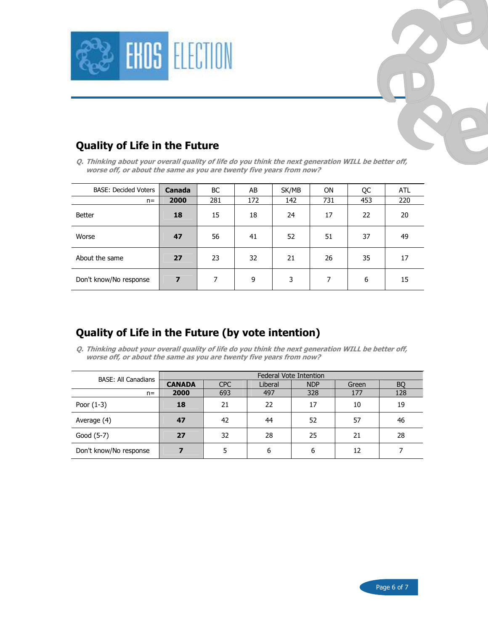



Q. Thinking about your overall quality of life do you think the next generation WILL be better off, worse off, or about the same as you are twenty five years from now?

| <b>BASE: Decided Voters</b> | <b>Canada</b> | <b>BC</b> | AB  | SK/MB | <b>ON</b> | QC  | <b>ATL</b> |
|-----------------------------|---------------|-----------|-----|-------|-----------|-----|------------|
| $n =$                       | 2000          | 281       | 172 | 142   | 731       | 453 | 220        |
| Better                      | 18            | 15        | 18  | 24    | 17        | 22  | 20         |
| Worse                       | 47            | 56        | 41  | 52    | 51        | 37  | 49         |
| About the same              | 27            | 23        | 32  | 21    | 26        | 35  | 17         |
| Don't know/No response      | 7             | 7         | 9   | 3     | 7         | 6   | 15         |

## Quality of Life in the Future (by vote intention)

Q. Thinking about your overall quality of life do you think the next generation WILL be better off, worse off, or about the same as you are twenty five years from now?

| <b>BASE: All Canadians</b> |               |            |         | <b>Federal Vote Intention</b> |       |           |
|----------------------------|---------------|------------|---------|-------------------------------|-------|-----------|
|                            | <b>CANADA</b> | <b>CPC</b> | Liberal | <b>NDP</b>                    | Green | <b>BQ</b> |
| $n =$                      | 2000          | 693        | 497     | 328                           | 177   | 128       |
| Poor $(1-3)$               | 18            | 21         | 22      | 17                            | 10    | 19        |
| Average (4)                | 47            | 42         | 44      | 52                            | 57    | 46        |
| Good (5-7)                 | 27            | 32         | 28      | 25                            | 21    | 28        |
| Don't know/No response     |               |            | 6       | 6                             | 12    |           |